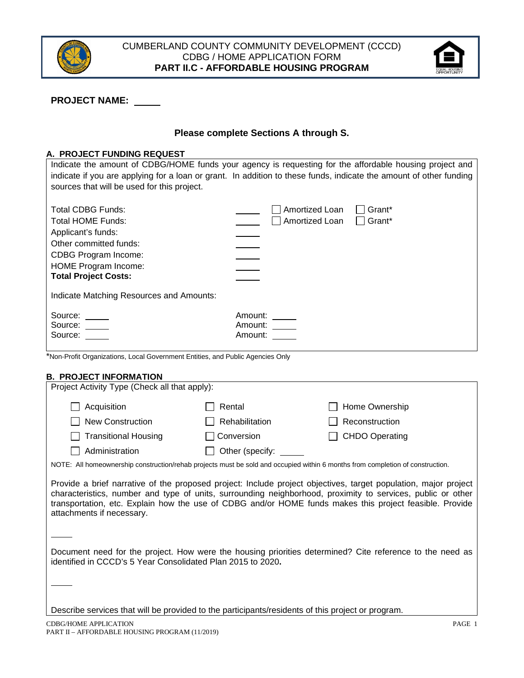



# **PROJECT NAME:**

## **Please complete Sections A through S.**

### **A. PROJECT FUNDING REQUEST**

|                                                                                                                    | Indicate the amount of CDBG/HOME funds your agency is requesting for the affordable housing project and |  |  |  |  |
|--------------------------------------------------------------------------------------------------------------------|---------------------------------------------------------------------------------------------------------|--|--|--|--|
| indicate if you are applying for a loan or grant. In addition to these funds, indicate the amount of other funding |                                                                                                         |  |  |  |  |
| sources that will be used for this project.                                                                        |                                                                                                         |  |  |  |  |
|                                                                                                                    |                                                                                                         |  |  |  |  |
| Total CDBG Funds:                                                                                                  | Amortized Loan<br>Grant*                                                                                |  |  |  |  |
| Total HOME Funds:                                                                                                  | Amortized Loan<br>$\Box$ Grant*                                                                         |  |  |  |  |
| Applicant's funds:                                                                                                 |                                                                                                         |  |  |  |  |
| Other committed funds:                                                                                             |                                                                                                         |  |  |  |  |
| <b>CDBG Program Income:</b>                                                                                        |                                                                                                         |  |  |  |  |
| HOME Program Income:                                                                                               |                                                                                                         |  |  |  |  |
| <b>Total Project Costs:</b>                                                                                        |                                                                                                         |  |  |  |  |
|                                                                                                                    |                                                                                                         |  |  |  |  |
| Indicate Matching Resources and Amounts:                                                                           |                                                                                                         |  |  |  |  |
|                                                                                                                    | Amount:                                                                                                 |  |  |  |  |
| Source: _____<br>Source: $\_\_$                                                                                    | Amount:                                                                                                 |  |  |  |  |
| Source:                                                                                                            | Amount:                                                                                                 |  |  |  |  |
|                                                                                                                    |                                                                                                         |  |  |  |  |

\*Non‐Profit Organizations, Local Government Entities, and Public Agencies Only

### **B. PROJECT INFORMATION**

| Project Activity Type (Check all that apply): |                       |                       |
|-----------------------------------------------|-----------------------|-----------------------|
| Acquisition                                   | Rental                | $\Box$ Home Ownership |
| <b>New Construction</b>                       | $\Box$ Rehabilitation | Reconstruction        |
| Transitional Housing<br>$\sim$                | Conversion            | $\Box$ CHDO Operating |
| Administration                                | Other (specify:       |                       |

NOTE: All homeownership construction/rehab projects must be sold and occupied within 6 months from completion of construction.

Provide a brief narrative of the proposed project: Include project objectives, target population, major project characteristics, number and type of units, surrounding neighborhood, proximity to services, public or other transportation, etc. Explain how the use of CDBG and/or HOME funds makes this project feasible. Provide attachments if necessary.

Document need for the project. How were the housing priorities determined? Cite reference to the need as identified in CCCD's 5 Year Consolidated Plan 2015 to 2020**.** 

Describe services that will be provided to the participants/residents of this project or program.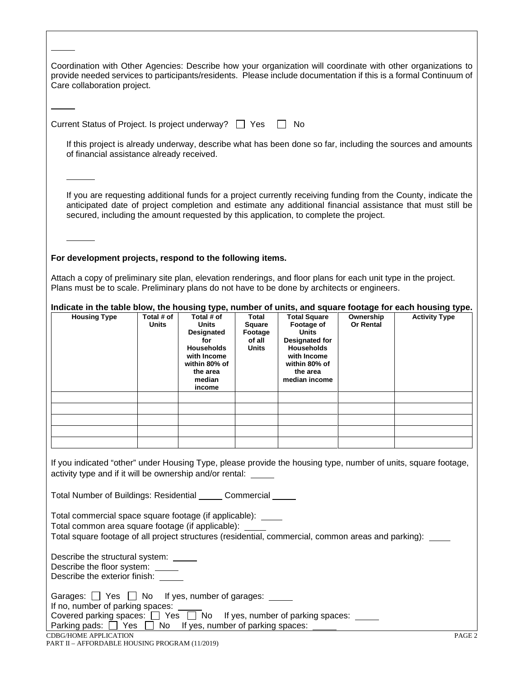CDBG/HOME APPLICATION PAGE 2 Coordination with Other Agencies: Describe how your organization will coordinate with other organizations to provide needed services to participants/residents. Please include documentation if this is a formal Continuum of Care collaboration project. Current Status of Project. Is project underway?  $\Box$  Yes  $\Box$  No If this project is already underway, describe what has been done so far, including the sources and amounts of financial assistance already received. If you are requesting additional funds for a project currently receiving funding from the County, indicate the anticipated date of project completion and estimate any additional financial assistance that must still be secured, including the amount requested by this application, to complete the project. **For development projects, respond to the following items.** Attach a copy of preliminary site plan, elevation renderings, and floor plans for each unit type in the project. Plans must be to scale. Preliminary plans do not have to be done by architects or engineers. **Indicate in the table blow, the housing type, number of units, and square footage for each housing type. Housing Type Units Total # of Units Designated for Households with Income within 80% of the area median income Total Square Footage of all Units Total Square Footage of Units Designated for Households with Income within 80% of the area median income Ownership Or Rental Activity Type** If you indicated "other" under Housing Type, please provide the housing type, number of units, square footage, activity type and if it will be ownership and/or rental: Total Number of Buildings: Residential Commercial Total commercial space square footage (if applicable): Total common area square footage (if applicable): Total square footage of all project structures (residential, commercial, common areas and parking): Describe the structural system: Describe the floor system: Describe the exterior finish: Garages:  $\Box$  Yes  $\Box$  No If yes, number of garages: If no, number of parking spaces: Covered parking spaces:  $\Box$  Yes  $\Box$  No If yes, number of parking spaces:  $\Box$ Parking pads:  $\Box$  Yes  $\Box$  No If yes, number of parking spaces: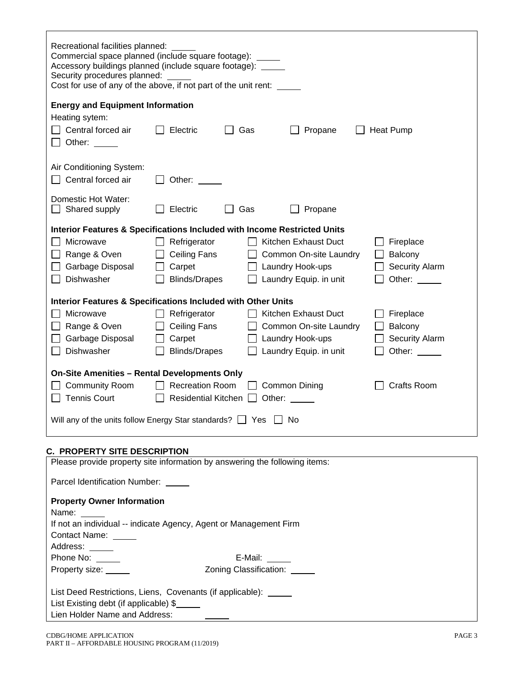| Recreational facilities planned:<br>Commercial space planned (include square footage):<br>Accessory buildings planned (include square footage): _____<br>Security procedures planned:<br>Cost for use of any of the above, if not part of the unit rent: _____ |                            |                                   |                        |                       |
|----------------------------------------------------------------------------------------------------------------------------------------------------------------------------------------------------------------------------------------------------------------|----------------------------|-----------------------------------|------------------------|-----------------------|
| <b>Energy and Equipment Information</b>                                                                                                                                                                                                                        |                            |                                   |                        |                       |
| Heating sytem:                                                                                                                                                                                                                                                 |                            |                                   |                        |                       |
| Central forced air                                                                                                                                                                                                                                             | Electric                   | Gas                               | Propane                | <b>Heat Pump</b>      |
| Other:<br>$\Box$                                                                                                                                                                                                                                               |                            |                                   |                        |                       |
|                                                                                                                                                                                                                                                                |                            |                                   |                        |                       |
| Air Conditioning System:                                                                                                                                                                                                                                       |                            |                                   |                        |                       |
| Central forced air                                                                                                                                                                                                                                             | Other: $\_\_$              |                                   |                        |                       |
|                                                                                                                                                                                                                                                                |                            |                                   |                        |                       |
| Domestic Hot Water:                                                                                                                                                                                                                                            |                            |                                   |                        |                       |
| Shared supply                                                                                                                                                                                                                                                  | Electric                   | Gas                               | Propane                |                       |
| Interior Features & Specifications Included with Income Restricted Units                                                                                                                                                                                       |                            |                                   |                        |                       |
| Microwave                                                                                                                                                                                                                                                      | Refrigerator               |                                   | Kitchen Exhaust Duct   | Fireplace             |
| Range & Oven                                                                                                                                                                                                                                                   | Ceiling Fans               |                                   | Common On-site Laundry | Balcony               |
| Garbage Disposal                                                                                                                                                                                                                                               | Carpet                     |                                   | Laundry Hook-ups       | Security Alarm        |
| Dishwasher                                                                                                                                                                                                                                                     | <b>Blinds/Drapes</b>       |                                   | Laundry Equip. in unit | Other:                |
|                                                                                                                                                                                                                                                                |                            |                                   |                        |                       |
| Interior Features & Specifications Included with Other Units                                                                                                                                                                                                   |                            |                                   |                        |                       |
| Microwave                                                                                                                                                                                                                                                      | Refrigerator               |                                   | Kitchen Exhaust Duct   | Fireplace             |
| Range & Oven                                                                                                                                                                                                                                                   | <b>Ceiling Fans</b>        |                                   | Common On-site Laundry | <b>Balcony</b>        |
| Garbage Disposal                                                                                                                                                                                                                                               | Carpet                     |                                   | Laundry Hook-ups       | <b>Security Alarm</b> |
| Dishwasher                                                                                                                                                                                                                                                     | <b>Blinds/Drapes</b>       |                                   | Laundry Equip. in unit | Other:                |
|                                                                                                                                                                                                                                                                |                            |                                   |                        |                       |
| <b>On-Site Amenities - Rental Developments Only</b>                                                                                                                                                                                                            |                            |                                   |                        |                       |
| <b>Community Room</b>                                                                                                                                                                                                                                          | <b>Recreation Room</b>     |                                   | <b>Common Dining</b>   | <b>Crafts Room</b>    |
| <b>Tennis Court</b>                                                                                                                                                                                                                                            | Residential Kitchen $\Box$ |                                   | Other:                 |                       |
| Will any of the units follow Energy Star standards? $\Box$ Yes $\Box$ No                                                                                                                                                                                       |                            |                                   |                        |                       |
|                                                                                                                                                                                                                                                                |                            |                                   |                        |                       |
|                                                                                                                                                                                                                                                                |                            |                                   |                        |                       |
| <b>C. PROPERTY SITE DESCRIPTION</b>                                                                                                                                                                                                                            |                            |                                   |                        |                       |
| Please provide property site information by answering the following items:                                                                                                                                                                                     |                            |                                   |                        |                       |
| Parcel Identification Number: _____                                                                                                                                                                                                                            |                            |                                   |                        |                       |
|                                                                                                                                                                                                                                                                |                            |                                   |                        |                       |
| <b>Property Owner Information</b>                                                                                                                                                                                                                              |                            |                                   |                        |                       |
| Name: $\_\_$                                                                                                                                                                                                                                                   |                            |                                   |                        |                       |
| If not an individual -- indicate Agency, Agent or Management Firm                                                                                                                                                                                              |                            |                                   |                        |                       |
| Contact Name: _____<br>Address: _____                                                                                                                                                                                                                          |                            |                                   |                        |                       |
| Phone No:                                                                                                                                                                                                                                                      |                            | E-Mail: $\_\_\_\_\_\_\_\_\_\_\_\$ |                        |                       |
| Property size: _____                                                                                                                                                                                                                                           |                            | Zoning Classification: _____      |                        |                       |
|                                                                                                                                                                                                                                                                |                            |                                   |                        |                       |
| List Deed Restrictions, Liens, Covenants (if applicable): _____                                                                                                                                                                                                |                            |                                   |                        |                       |
| List Existing debt (if applicable) \$                                                                                                                                                                                                                          |                            |                                   |                        |                       |
| Lien Holder Name and Address:                                                                                                                                                                                                                                  |                            |                                   |                        |                       |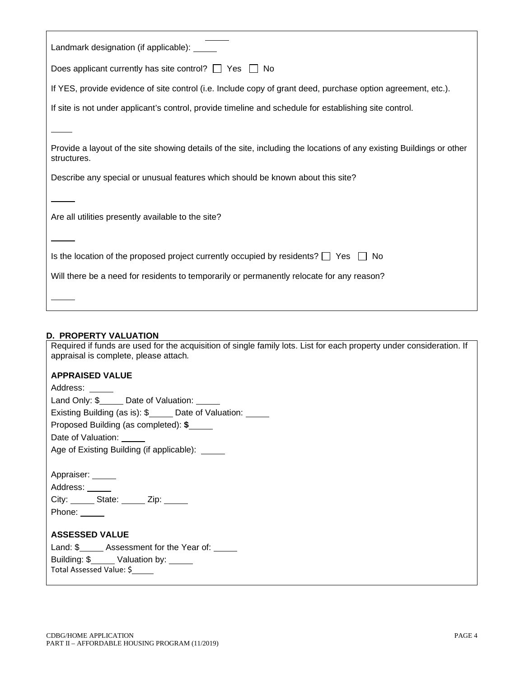| Landmark designation (if applicable): _____                                                                                         |
|-------------------------------------------------------------------------------------------------------------------------------------|
| Does applicant currently has site control? $\Box$ Yes $\Box$ No                                                                     |
| If YES, provide evidence of site control (i.e. Include copy of grant deed, purchase option agreement, etc.).                        |
| If site is not under applicant's control, provide timeline and schedule for establishing site control.                              |
|                                                                                                                                     |
| Provide a layout of the site showing details of the site, including the locations of any existing Buildings or other<br>structures. |
| Describe any special or unusual features which should be known about this site?                                                     |
|                                                                                                                                     |
| Are all utilities presently available to the site?                                                                                  |
|                                                                                                                                     |
| Is the location of the proposed project currently occupied by residents? $\Box$ Yes $\Box$ No                                       |
| Will there be a need for residents to temporarily or permanently relocate for any reason?                                           |
|                                                                                                                                     |

# **D. PROPERTY VALUATION**

Required if funds are used for the acquisition of single family lots. List for each property under consideration. If appraisal is complete, please attach*.* 

## **APPRAISED VALUE**

| Address: _____                                      |
|-----------------------------------------------------|
| Land Only: \$ Date of Valuation: _____              |
| Existing Building (as is): \$<br>Date of Valuation: |
| Proposed Building (as completed): \$                |
| Date of Valuation: ______                           |
| Age of Existing Building (if applicable): _____     |
|                                                     |
| Appraiser: _____                                    |
| Address: ______                                     |
| City: State: Zip:                                   |
| Phone: $\_\_$                                       |
|                                                     |
| <b>ASSESSED VALUE</b>                               |
| Land: \$________ Assessment for the Year of: ______ |
| Building: \$________ Valuation by: ______           |
| Total Assessed Value: \$                            |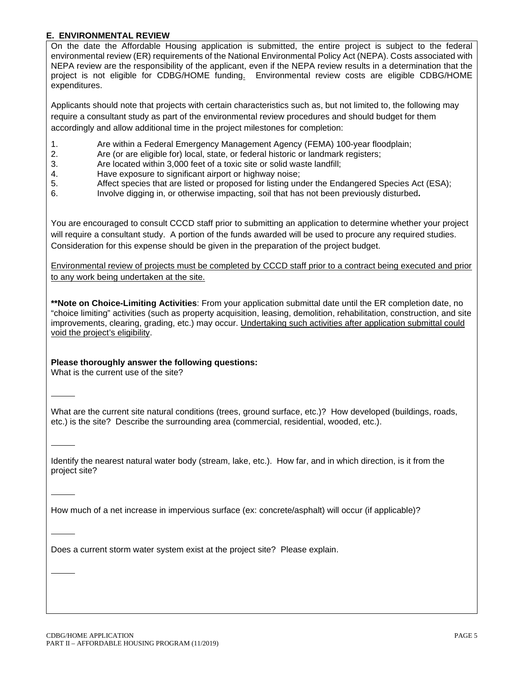## **E. ENVIRONMENTAL REVIEW**

On the date the Affordable Housing application is submitted, the entire project is subject to the federal environmental review (ER) requirements of the National Environmental Policy Act (NEPA). Costs associated with NEPA review are the responsibility of the applicant, even if the NEPA review results in a determination that the project is not eligible for CDBG/HOME funding. Environmental review costs are eligible CDBG/HOME expenditures.

Applicants should note that projects with certain characteristics such as, but not limited to, the following may require a consultant study as part of the environmental review procedures and should budget for them accordingly and allow additional time in the project milestones for completion:

- 1. Are within a Federal Emergency Management Agency (FEMA) 100-year floodplain;
- 2. Are (or are eligible for) local, state, or federal historic or landmark registers;
- 3. Are located within 3,000 feet of a toxic site or solid waste landfill;
- 4. Have exposure to significant airport or highway noise;<br>5. Affect species that are listed or proposed for listing uno
- Affect species that are listed or proposed for listing under the Endangered Species Act (ESA);
- 6. Involve digging in, or otherwise impacting, soil that has not been previously disturbed**.**

You are encouraged to consult CCCD staff prior to submitting an application to determine whether your project will require a consultant study. A portion of the funds awarded will be used to procure any required studies. Consideration for this expense should be given in the preparation of the project budget.

Environmental review of projects must be completed by CCCD staff prior to a contract being executed and prior to any work being undertaken at the site.

**\*\*Note on Choice-Limiting Activities**: From your application submittal date until the ER completion date, no "choice limiting" activities (such as property acquisition, leasing, demolition, rehabilitation, construction, and site improvements, clearing, grading, etc.) may occur. Undertaking such activities after application submittal could void the project's eligibility.

### **Please thoroughly answer the following questions:**

What is the current use of the site?

What are the current site natural conditions (trees, ground surface, etc.)? How developed (buildings, roads, etc.) is the site? Describe the surrounding area (commercial, residential, wooded, etc.).

Identify the nearest natural water body (stream, lake, etc.). How far, and in which direction, is it from the project site?

How much of a net increase in impervious surface (ex: concrete/asphalt) will occur (if applicable)?

Does a current storm water system exist at the project site? Please explain.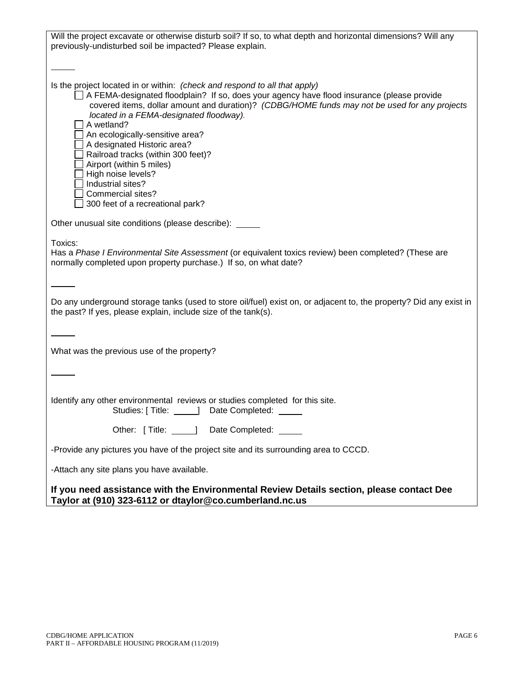| Will the project excavate or otherwise disturb soil? If so, to what depth and horizontal dimensions? Will any<br>previously-undisturbed soil be impacted? Please explain.                                                                                                                                                                                                                                                                                                                                                                                                    |
|------------------------------------------------------------------------------------------------------------------------------------------------------------------------------------------------------------------------------------------------------------------------------------------------------------------------------------------------------------------------------------------------------------------------------------------------------------------------------------------------------------------------------------------------------------------------------|
|                                                                                                                                                                                                                                                                                                                                                                                                                                                                                                                                                                              |
| Is the project located in or within: (check and respond to all that apply)<br>□ A FEMA-designated floodplain? If so, does your agency have flood insurance (please provide<br>covered items, dollar amount and duration)? (CDBG/HOME funds may not be used for any projects<br>located in a FEMA-designated floodway).<br>A wetland?<br>An ecologically-sensitive area?<br>A designated Historic area?<br>Railroad tracks (within 300 feet)?<br>Airport (within 5 miles)<br>High noise levels?<br>Industrial sites?<br>Commercial sites?<br>300 feet of a recreational park? |
| Other unusual site conditions (please describe): _____                                                                                                                                                                                                                                                                                                                                                                                                                                                                                                                       |
| Toxics:<br>Has a Phase I Environmental Site Assessment (or equivalent toxics review) been completed? (These are<br>normally completed upon property purchase.) If so, on what date?                                                                                                                                                                                                                                                                                                                                                                                          |
| Do any underground storage tanks (used to store oil/fuel) exist on, or adjacent to, the property? Did any exist in<br>the past? If yes, please explain, include size of the tank(s).                                                                                                                                                                                                                                                                                                                                                                                         |
| What was the previous use of the property?                                                                                                                                                                                                                                                                                                                                                                                                                                                                                                                                   |
|                                                                                                                                                                                                                                                                                                                                                                                                                                                                                                                                                                              |
| Identify any other environmental reviews or studies completed for this site.<br>Studies: [ Title:<br>_____] Date Completed:                                                                                                                                                                                                                                                                                                                                                                                                                                                  |
| Other: [Title: _____] Date Completed: _____                                                                                                                                                                                                                                                                                                                                                                                                                                                                                                                                  |
| -Provide any pictures you have of the project site and its surrounding area to CCCD.                                                                                                                                                                                                                                                                                                                                                                                                                                                                                         |
| -Attach any site plans you have available.                                                                                                                                                                                                                                                                                                                                                                                                                                                                                                                                   |
| If you need assistance with the Environmental Review Details section, please contact Dee                                                                                                                                                                                                                                                                                                                                                                                                                                                                                     |

**Taylor at (910) 323-6112 or dtaylor@co.cumberland.nc.us**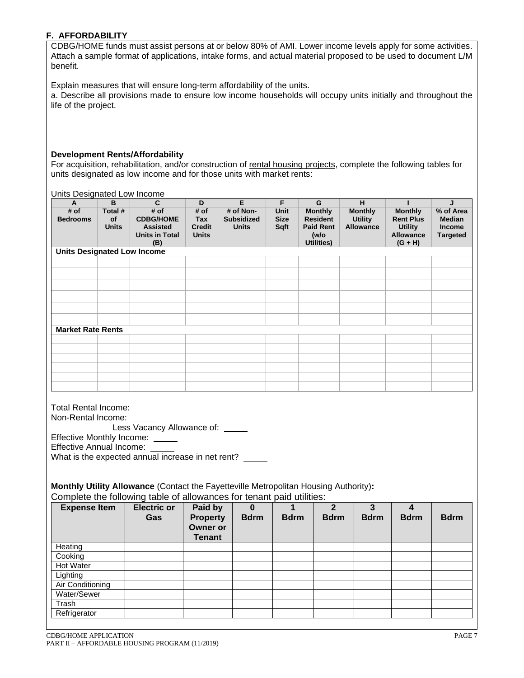## **F. AFFORDABILITY**

CDBG/HOME funds must assist persons at or below 80% of AMI. Lower income levels apply for some activities. Attach a sample format of applications, intake forms, and actual material proposed to be used to document L/M benefit.

Explain measures that will ensure long-term affordability of the units.

a. Describe all provisions made to ensure low income households will occupy units initially and throughout the life of the project.

### **Development Rents/Affordability**

For acquisition, rehabilitation, and/or construction of rental housing projects, complete the following tables for units designated as low income and for those units with market rents:

Units Designated Low Income

| # of                                                  | B                             | C                                                                                                                                                                                                                                                     | D                                                       | E                                              | F                                  | G                                                                           | н                                                    | т                                                                                     | J                                                              |
|-------------------------------------------------------|-------------------------------|-------------------------------------------------------------------------------------------------------------------------------------------------------------------------------------------------------------------------------------------------------|---------------------------------------------------------|------------------------------------------------|------------------------------------|-----------------------------------------------------------------------------|------------------------------------------------------|---------------------------------------------------------------------------------------|----------------------------------------------------------------|
| <b>Bedrooms</b>                                       | Total #<br>οf<br><b>Units</b> | # of<br><b>CDBG/HOME</b><br><b>Assisted</b><br><b>Units in Total</b><br>(B)                                                                                                                                                                           | # of<br><b>Tax</b><br><b>Credit</b><br><b>Units</b>     | # of Non-<br><b>Subsidized</b><br><b>Units</b> | <b>Unit</b><br><b>Size</b><br>Sqft | <b>Monthly</b><br><b>Resident</b><br><b>Paid Rent</b><br>(w/o<br>Utilities) | <b>Monthly</b><br><b>Utility</b><br><b>Allowance</b> | <b>Monthly</b><br><b>Rent Plus</b><br><b>Utility</b><br><b>Allowance</b><br>$(G + H)$ | % of Area<br><b>Median</b><br><b>Income</b><br><b>Targeted</b> |
| <b>Units Designated Low Income</b>                    |                               |                                                                                                                                                                                                                                                       |                                                         |                                                |                                    |                                                                             |                                                      |                                                                                       |                                                                |
|                                                       |                               |                                                                                                                                                                                                                                                       |                                                         |                                                |                                    |                                                                             |                                                      |                                                                                       |                                                                |
|                                                       |                               |                                                                                                                                                                                                                                                       |                                                         |                                                |                                    |                                                                             |                                                      |                                                                                       |                                                                |
|                                                       |                               |                                                                                                                                                                                                                                                       |                                                         |                                                |                                    |                                                                             |                                                      |                                                                                       |                                                                |
|                                                       |                               |                                                                                                                                                                                                                                                       |                                                         |                                                |                                    |                                                                             |                                                      |                                                                                       |                                                                |
|                                                       |                               |                                                                                                                                                                                                                                                       |                                                         |                                                |                                    |                                                                             |                                                      |                                                                                       |                                                                |
|                                                       |                               |                                                                                                                                                                                                                                                       |                                                         |                                                |                                    |                                                                             |                                                      |                                                                                       |                                                                |
|                                                       |                               |                                                                                                                                                                                                                                                       |                                                         |                                                |                                    |                                                                             |                                                      |                                                                                       |                                                                |
| <b>Market Rate Rents</b>                              |                               |                                                                                                                                                                                                                                                       |                                                         |                                                |                                    |                                                                             |                                                      |                                                                                       |                                                                |
|                                                       |                               |                                                                                                                                                                                                                                                       |                                                         |                                                |                                    |                                                                             |                                                      |                                                                                       |                                                                |
|                                                       |                               |                                                                                                                                                                                                                                                       |                                                         |                                                |                                    |                                                                             |                                                      |                                                                                       |                                                                |
|                                                       |                               |                                                                                                                                                                                                                                                       |                                                         |                                                |                                    |                                                                             |                                                      |                                                                                       |                                                                |
|                                                       |                               |                                                                                                                                                                                                                                                       |                                                         |                                                |                                    |                                                                             |                                                      |                                                                                       |                                                                |
|                                                       |                               |                                                                                                                                                                                                                                                       |                                                         |                                                |                                    |                                                                             |                                                      |                                                                                       |                                                                |
| <b>Total Rental Income:</b>                           |                               | Less Vacancy Allowance of: _____                                                                                                                                                                                                                      |                                                         |                                                |                                    |                                                                             |                                                      |                                                                                       |                                                                |
| Non-Rental Income:<br><b>Effective Annual Income:</b> |                               | Effective Monthly Income: _____<br>What is the expected annual increase in net rent?<br>Monthly Utility Allowance (Contact the Fayetteville Metropolitan Housing Authority):<br>Complete the following table of allowances for tenant paid utilities: |                                                         |                                                |                                    |                                                                             |                                                      |                                                                                       |                                                                |
| <b>Expense Item</b>                                   |                               | <b>Electric or</b><br>Gas                                                                                                                                                                                                                             | Paid by<br><b>Property</b><br>Owner or<br><b>Tenant</b> | $\mathbf 0$<br><b>Bdrm</b>                     | 1<br><b>Bdrm</b>                   | $\overline{2}$<br><b>Bdrm</b>                                               | $\mathbf{3}$<br><b>Bdrm</b>                          | $\overline{\mathbf{4}}$<br><b>Bdrm</b>                                                | <b>Bdrm</b>                                                    |
| Heating                                               |                               |                                                                                                                                                                                                                                                       |                                                         |                                                |                                    |                                                                             |                                                      |                                                                                       |                                                                |
| Cooking                                               |                               |                                                                                                                                                                                                                                                       |                                                         |                                                |                                    |                                                                             |                                                      |                                                                                       |                                                                |
| <b>Hot Water</b>                                      |                               |                                                                                                                                                                                                                                                       |                                                         |                                                |                                    |                                                                             |                                                      |                                                                                       |                                                                |
| Lighting                                              |                               |                                                                                                                                                                                                                                                       |                                                         |                                                |                                    |                                                                             |                                                      |                                                                                       |                                                                |
| <b>Air Conditioning</b>                               |                               |                                                                                                                                                                                                                                                       |                                                         |                                                |                                    |                                                                             |                                                      |                                                                                       |                                                                |
| Water/Sewer                                           |                               |                                                                                                                                                                                                                                                       |                                                         |                                                |                                    |                                                                             |                                                      |                                                                                       |                                                                |
| Trash<br>Refrigerator                                 |                               |                                                                                                                                                                                                                                                       |                                                         |                                                |                                    |                                                                             |                                                      |                                                                                       |                                                                |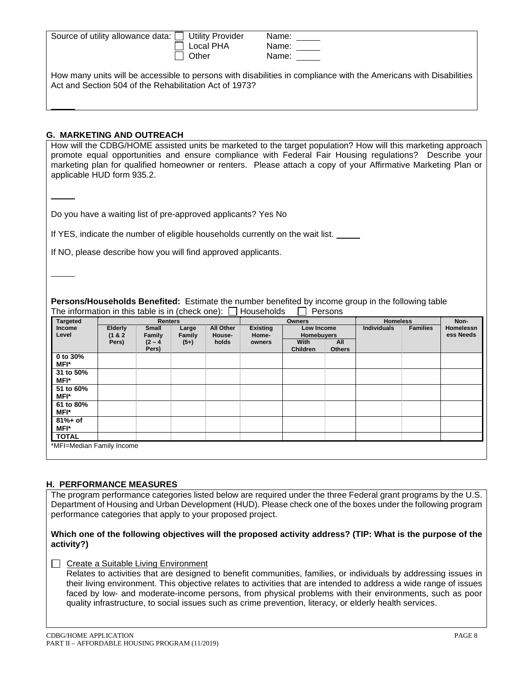| Source of utility allowance data: □ Utility Provider   | Name:                                                                                                             |
|--------------------------------------------------------|-------------------------------------------------------------------------------------------------------------------|
| Local PHA                                              | Name:                                                                                                             |
| Other                                                  | Name:                                                                                                             |
| Act and Section 504 of the Rehabilitation Act of 1973? | How many units will be accessible to persons with disabilities in compliance with the Americans with Disabilities |

### **G. MARKETING AND OUTREACH**

How will the CDBG/HOME assisted units be marketed to the target population? How will this marketing approach promote equal opportunities and ensure compliance with Federal Fair Housing regulations? Describe your marketing plan for qualified homeowner or renters. Please attach a copy of your Affirmative Marketing Plan or applicable HUD form 935.2.

Do you have a waiting list of pre-approved applicants? Yes No

If YES, indicate the number of eligible households currently on the wait list.

If NO, please describe how you will find approved applicants.

**Persons/Households Benefited:** Estimate the number benefited by income group in the following table The information in this table is in (check one):  $\Box$  Households  $\Box$  Persons

| <b>Targeted</b>    |                    | <b>Renters</b>     |                 |                     |                          | <b>Owners</b>                   |                      | <b>Homeless</b>                       |  | Non-                          |
|--------------------|--------------------|--------------------|-----------------|---------------------|--------------------------|---------------------------------|----------------------|---------------------------------------|--|-------------------------------|
| Income<br>Level    | Elderly<br>(1 & 8) | Small<br>Family    | Large<br>Family | All Other<br>House- | <b>Existing</b><br>Home- | Low Income<br><b>Homebuyers</b> |                      | <b>Families</b><br><b>Individuals</b> |  | <b>Homelessn</b><br>ess Needs |
|                    | Pers)              | $(2 - 4)$<br>Pers) | $(5+)$          | holds               | owners                   | With<br><b>Children</b>         | All<br><b>Others</b> |                                       |  |                               |
| 0 to 30%<br>MFI*   |                    |                    |                 |                     |                          |                                 |                      |                                       |  |                               |
| 31 to 50%<br>MFI*  |                    |                    |                 |                     |                          |                                 |                      |                                       |  |                               |
| 51 to 60%<br>MFI*  |                    |                    |                 |                     |                          |                                 |                      |                                       |  |                               |
| 61 to 80%<br>MFI*  |                    |                    |                 |                     |                          |                                 |                      |                                       |  |                               |
| $81% + of$<br>MFI* |                    |                    |                 |                     |                          |                                 |                      |                                       |  |                               |
| <b>TOTAL</b>       |                    |                    |                 |                     |                          |                                 |                      |                                       |  |                               |

### **H. PERFORMANCE MEASURES**

The program performance categories listed below are required under the three Federal grant programs by the U.S. Department of Housing and Urban Development (HUD). Please check one of the boxes under the following program performance categories that apply to your proposed project.

### **Which one of the following objectives will the proposed activity address? (TIP: What is the purpose of the activity?)**

 $\Box$  Create a Suitable Living Environment

Relates to activities that are designed to benefit communities, families, or individuals by addressing issues in their living environment. This objective relates to activities that are intended to address a wide range of issues faced by low- and moderate-income persons, from physical problems with their environments, such as poor quality infrastructure, to social issues such as crime prevention, literacy, or elderly health services.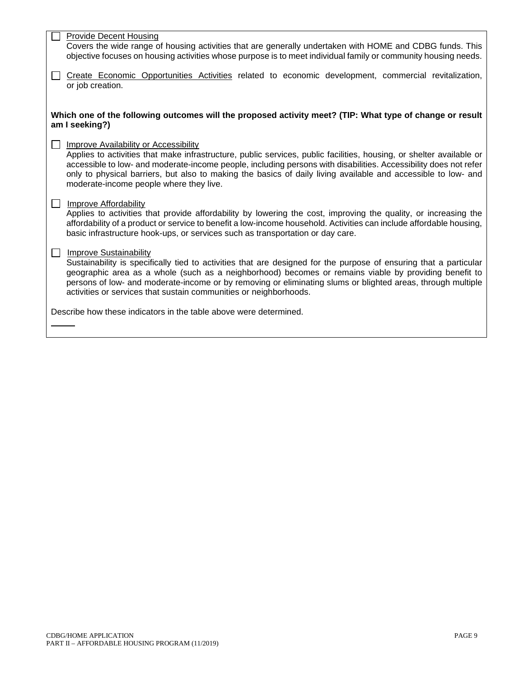| <b>Provide Decent Housing</b><br>Covers the wide range of housing activities that are generally undertaken with HOME and CDBG funds. This<br>objective focuses on housing activities whose purpose is to meet individual family or community housing needs.                                                                                                                                                                                          |
|------------------------------------------------------------------------------------------------------------------------------------------------------------------------------------------------------------------------------------------------------------------------------------------------------------------------------------------------------------------------------------------------------------------------------------------------------|
| Create Economic Opportunities Activities related to economic development, commercial revitalization,<br>or job creation.                                                                                                                                                                                                                                                                                                                             |
| Which one of the following outcomes will the proposed activity meet? (TIP: What type of change or result<br>am I seeking?)                                                                                                                                                                                                                                                                                                                           |
| <b>Improve Availability or Accessibility</b><br>Applies to activities that make infrastructure, public services, public facilities, housing, or shelter available or<br>accessible to low- and moderate-income people, including persons with disabilities. Accessibility does not refer<br>only to physical barriers, but also to making the basics of daily living available and accessible to low- and<br>moderate-income people where they live. |
| <b>Improve Affordability</b><br>Applies to activities that provide affordability by lowering the cost, improving the quality, or increasing the<br>affordability of a product or service to benefit a low-income household. Activities can include affordable housing,<br>basic infrastructure hook-ups, or services such as transportation or day care.                                                                                             |
| Improve Sustainability<br>Sustainability is specifically tied to activities that are designed for the purpose of ensuring that a particular<br>geographic area as a whole (such as a neighborhood) becomes or remains viable by providing benefit to<br>persons of low- and moderate-income or by removing or eliminating slums or blighted areas, through multiple<br>activities or services that sustain communities or neighborhoods.             |
| Describe how these indicators in the table above were determined.                                                                                                                                                                                                                                                                                                                                                                                    |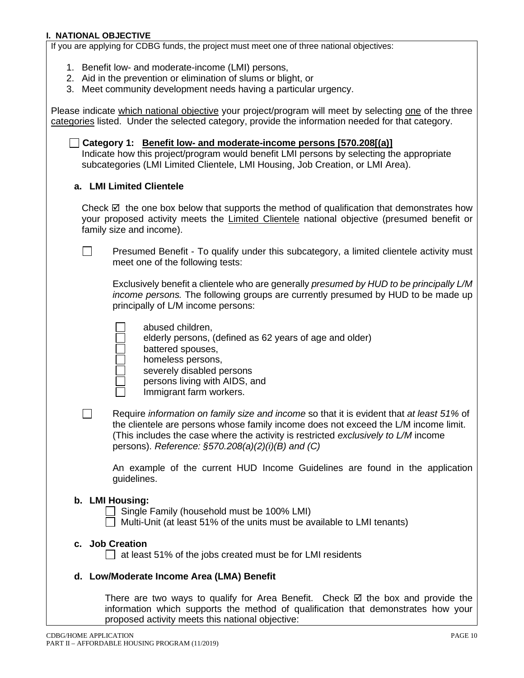### **I. NATIONAL OBJECTIVE**

If you are applying for CDBG funds, the project must meet one of three national objectives:

- 1. Benefit low- and moderate-income (LMI) persons,
- 2. Aid in the prevention or elimination of slums or blight, or
- 3. Meet community development needs having a particular urgency.

Please indicate which national objective your project/program will meet by selecting one of the three categories listed. Under the selected category, provide the information needed for that category.

**Category 1: Benefit low- and moderate-income persons [570.208[(a)]** Indicate how this project/program would benefit LMI persons by selecting the appropriate subcategories (LMI Limited Clientele, LMI Housing, Job Creation, or LMI Area).

### **a. LMI Limited Clientele**

Check  $\boxtimes$  the one box below that supports the method of qualification that demonstrates how your proposed activity meets the Limited Clientele national objective (presumed benefit or family size and income).

Presumed Benefit - To qualify under this subcategory, a limited clientele activity must  $\perp$ meet one of the following tests:

Exclusively benefit a clientele who are generally *presumed by HUD to be principally L/M income persons.* The following groups are currently presumed by HUD to be made up principally of L/M income persons:

|  | abused children, |
|--|------------------|
|--|------------------|

elderly persons, (defined as 62 years of age and older)

battered spouses,

- homeless persons,
	- severely disabled persons
	- persons living with AIDS, and

Immigrant farm workers.

Require *information on family size and income* so that it is evident that *at least 51%* of the clientele are persons whose family income does not exceed the L/M income limit. (This includes the case where the activity is restricted *exclusively to L/M* income persons). *Reference: §570.208(a)(2)(i)(B) and (C)*

An example of the current HUD Income Guidelines are found in the application guidelines.

### **b. LMI Housing:**

П

 $\Box$  Single Family (household must be 100% LMI) Multi-Unit (at least 51% of the units must be available to LMI tenants)

### **c. Job Creation**

 $\Box$  at least 51% of the jobs created must be for LMI residents

## **d. Low/Moderate Income Area (LMA) Benefit**

There are two ways to qualify for Area Benefit. Check  $\boxtimes$  the box and provide the information which supports the method of qualification that demonstrates how your proposed activity meets this national objective: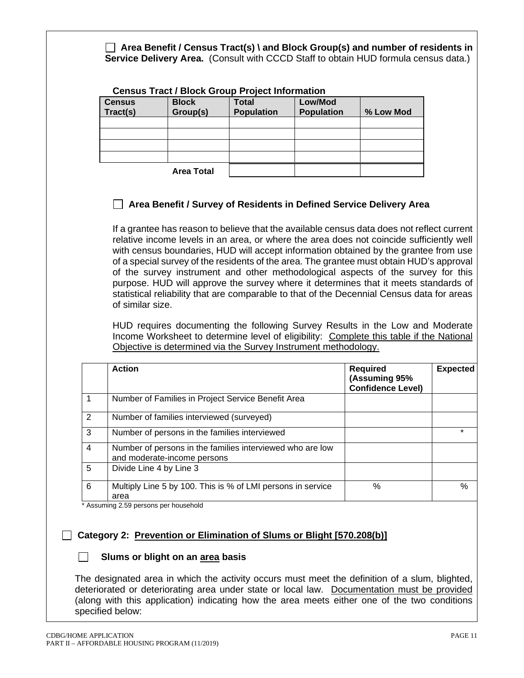**Area Benefit / Census Tract(s) \ and Block Group(s) and number of residents in Service Delivery Area.** (Consult with CCCD Staff to obtain HUD formula census data.) **Census Tract / Block Group Project Information Census Tract(s) Block Group(s) Total Population Low/Mod Population % Low Mod Area Total Area Benefit / Survey of Residents in Defined Service Delivery Area** If a grantee has reason to believe that the available census data does not reflect current relative income levels in an area, or where the area does not coincide sufficiently well with census boundaries, HUD will accept information obtained by the grantee from use of a special survey of the residents of the area. The grantee must obtain HUD's approval of the survey instrument and other methodological aspects of the survey for this purpose. HUD will approve the survey where it determines that it meets standards of statistical reliability that are comparable to that of the Decennial Census data for areas of similar size. HUD requires documenting the following Survey Results in the Low and Moderate Income Worksheet to determine level of eligibility: Complete this table if the National Objective is determined via the Survey Instrument methodology. **Action Required (Assuming 95% Confidence Level) Expected** 1 Number of Families in Project Service Benefit Area 2 Number of families interviewed (surveyed) 3 Number of persons in the families interviewed \* 4 Number of persons in the families interviewed who are low and moderate-income persons 5 | Divide Line 4 by Line 3 6 Multiply Line 5 by 100. This is % of LMI persons in service area % % Assuming 2.59 persons per household

# **Category 2: Prevention or Elimination of Slums or Blight [570.208(b)]**

# **Slums or blight on an area basis**

The designated area in which the activity occurs must meet the definition of a slum, blighted, deteriorated or deteriorating area under state or local law. Documentation must be provided (along with this application) indicating how the area meets either one of the two conditions specified below: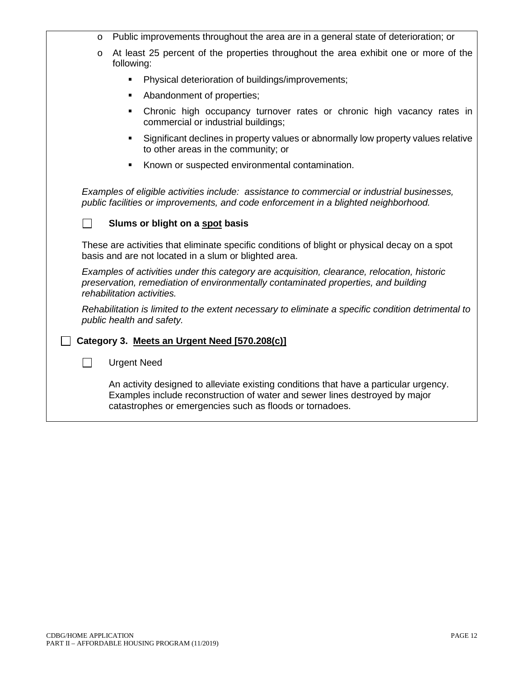| O                          | Public improvements throughout the area are in a general state of deterioration; or                                                                                                                                              |
|----------------------------|----------------------------------------------------------------------------------------------------------------------------------------------------------------------------------------------------------------------------------|
| O<br>following:            | At least 25 percent of the properties throughout the area exhibit one or more of the                                                                                                                                             |
|                            | Physical deterioration of buildings/improvements;                                                                                                                                                                                |
| ٠                          | Abandonment of properties;                                                                                                                                                                                                       |
|                            | Chronic high occupancy turnover rates or chronic high vacancy rates in<br>commercial or industrial buildings;                                                                                                                    |
| $\blacksquare$             | Significant declines in property values or abnormally low property values relative<br>to other areas in the community; or                                                                                                        |
| ٠                          | Known or suspected environmental contamination.                                                                                                                                                                                  |
|                            | Examples of eligible activities include: assistance to commercial or industrial businesses,<br>public facilities or improvements, and code enforcement in a blighted neighborhood.                                               |
| $\overline{\phantom{0}}$   | Slums or blight on a spot basis                                                                                                                                                                                                  |
|                            | These are activities that eliminate specific conditions of blight or physical decay on a spot<br>basis and are not located in a slum or blighted area.                                                                           |
| rehabilitation activities. | Examples of activities under this category are acquisition, clearance, relocation, historic<br>preservation, remediation of environmentally contaminated properties, and building                                                |
| public health and safety.  | Rehabilitation is limited to the extent necessary to eliminate a specific condition detrimental to                                                                                                                               |
|                            | Category 3. Meets an Urgent Need [570.208(c)]                                                                                                                                                                                    |
| $\blacksquare$             | <b>Urgent Need</b>                                                                                                                                                                                                               |
|                            | An activity designed to alleviate existing conditions that have a particular urgency.<br>Examples include reconstruction of water and sewer lines destroyed by major<br>catastrophes or emergencies such as floods or tornadoes. |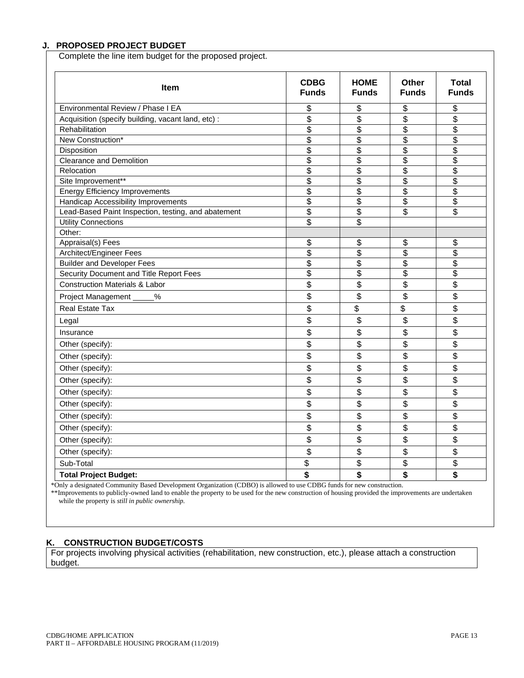## **J. PROPOSED PROJECT BUDGET**

Complete the line item budget for the proposed project.

| Item                                                | <b>CDBG</b><br><b>Funds</b> | <b>HOME</b><br><b>Funds</b> | Other<br><b>Funds</b>    | <b>Total</b><br><b>Funds</b>         |
|-----------------------------------------------------|-----------------------------|-----------------------------|--------------------------|--------------------------------------|
| Environmental Review / Phase I EA                   | \$                          | \$                          | \$                       | \$                                   |
| Acquisition (specify building, vacant land, etc) :  | \$                          | \$                          | \$                       | \$                                   |
| Rehabilitation                                      | \$                          | \$                          | \$                       | $\overline{\$}$                      |
| New Construction*                                   | $\overline{\$}$             | \$                          | \$                       | \$                                   |
| Disposition                                         | \$                          | \$                          | \$                       | \$                                   |
| <b>Clearance and Demolition</b>                     | $\overline{\$}$             | \$                          | $\overline{\$}$          | $\overline{\$}$                      |
| Relocation                                          | $\overline{\$}$             | \$                          | \$                       | \$                                   |
| Site Improvement**                                  | \$                          | \$                          | \$                       | \$                                   |
| <b>Energy Efficiency Improvements</b>               | \$                          | \$                          | $\overline{\$}$          | \$                                   |
| Handicap Accessibility Improvements                 | $\overline{\$}$             | $\overline{\$}$             | $\overline{\$}$          | $\overline{\mathcal{S}}$             |
| Lead-Based Paint Inspection, testing, and abatement | \$                          | \$                          | $\overline{\mathcal{E}}$ | $\overline{\boldsymbol{\mathsf{s}}}$ |
| <b>Utility Connections</b>                          | \$                          | $\overline{\$}$             |                          |                                      |
| Other:                                              |                             |                             |                          |                                      |
| Appraisal(s) Fees                                   | \$                          | \$                          | \$                       | \$                                   |
| Architect/Engineer Fees                             | \$                          | \$                          | \$                       | \$                                   |
| <b>Builder and Developer Fees</b>                   | $\overline{\$}$             | \$                          | \$                       | \$                                   |
| Security Document and Title Report Fees             | \$                          | \$                          | \$                       | \$                                   |
| <b>Construction Materials &amp; Labor</b>           | \$                          | \$                          | \$                       | \$                                   |
| Project Management<br>%                             | \$                          | \$                          | \$                       | \$                                   |
| Real Estate Tax                                     | \$                          | \$                          | \$                       | \$                                   |
| Legal                                               | \$                          | \$                          | \$                       | \$                                   |
| Insurance                                           | \$                          | \$                          | \$                       | \$                                   |
| Other (specify):                                    | \$                          | \$                          | \$                       | \$                                   |
| Other (specify):                                    | \$                          | \$                          | \$                       | \$                                   |
| Other (specify):                                    | \$                          | \$                          | \$                       | \$                                   |
| Other (specify):                                    | \$                          | \$                          | \$                       | \$                                   |
| Other (specify):                                    | \$                          | \$                          | \$                       | \$                                   |
| Other (specify):                                    | \$                          | \$                          | \$                       | \$                                   |
| Other (specify):                                    | \$                          | \$                          | \$                       | \$                                   |
| Other (specify):                                    | \$                          | \$                          | \$                       | \$                                   |
| Other (specify):                                    | \$                          | \$                          | \$                       | \$                                   |
| Other (specify):                                    | \$                          | \$                          | \$                       | \$                                   |
| Sub-Total                                           | \$                          | \$                          | \$                       | \$                                   |
| <b>Total Project Budget:</b>                        | \$                          | \$                          | \$                       | \$                                   |

\*Only a designated Community Based Development Organization (CDBO) is allowed to use CDBG funds for new construction. \*\*Improvements to publicly-owned land to enable the property to be used for the new construction of housing provided the improvements are undertaken while the property is *still in public ownership.*

# **K. CONSTRUCTION BUDGET/COSTS**

For projects involving physical activities (rehabilitation, new construction, etc.), please attach a construction budget.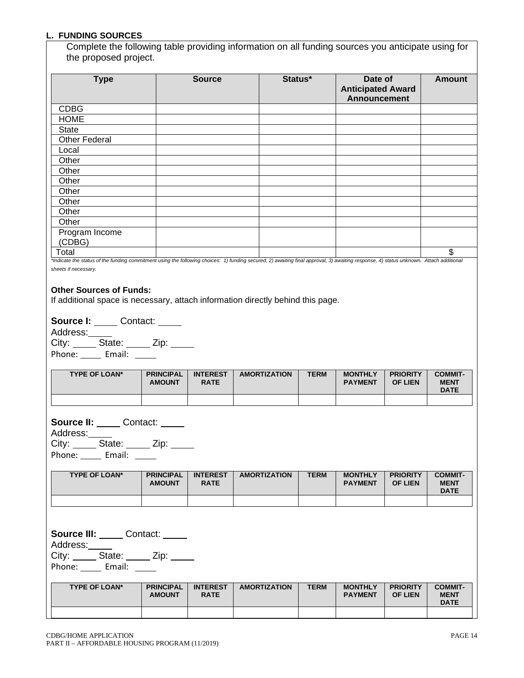### **L. FUNDING SOURCES**

Complete the following table providing information on all funding sources you anticipate using for the proposed project.

| <b>Type</b>                                                                                                                                                                                                    | <b>Source</b> | Status* | Date of<br><b>Anticipated Award</b><br><b>Announcement</b> | <b>Amount</b> |
|----------------------------------------------------------------------------------------------------------------------------------------------------------------------------------------------------------------|---------------|---------|------------------------------------------------------------|---------------|
| <b>CDBG</b>                                                                                                                                                                                                    |               |         |                                                            |               |
| <b>HOME</b>                                                                                                                                                                                                    |               |         |                                                            |               |
| <b>State</b>                                                                                                                                                                                                   |               |         |                                                            |               |
| <b>Other Federal</b>                                                                                                                                                                                           |               |         |                                                            |               |
| Local                                                                                                                                                                                                          |               |         |                                                            |               |
| Other                                                                                                                                                                                                          |               |         |                                                            |               |
| Other                                                                                                                                                                                                          |               |         |                                                            |               |
| Other                                                                                                                                                                                                          |               |         |                                                            |               |
| Other                                                                                                                                                                                                          |               |         |                                                            |               |
| Other                                                                                                                                                                                                          |               |         |                                                            |               |
| Other                                                                                                                                                                                                          |               |         |                                                            |               |
| Other                                                                                                                                                                                                          |               |         |                                                            |               |
| Program Income<br>(CDBG)                                                                                                                                                                                       |               |         |                                                            |               |
| Total                                                                                                                                                                                                          |               |         |                                                            | \$            |
| *Indicate the status of the funding commitment using the following choices: 1) funding secured, 2) awaiting final approval, 3) awaiting response, 4) status unknown. Attach additional<br>sheets if necessary. |               |         |                                                            |               |

#### **Other Sources of Funds:**

If additional space is necessary, attach information directly behind this page.

**Source I:** Contact: \_\_\_\_

Address: City: State: Zip: \_\_\_\_ Phone: Email: \_\_\_\_\_

| <b>TYPE OF LOAN*</b> | <b>PRINCIPAL</b><br><b>AMOUNT</b> | <b>INTEREST</b><br><b>RATE</b> | <b>AMORTIZATION</b> | <b>TERM</b> | <b>MONTHLY</b><br><b>PAYMENT</b> | <b>PRIORITY</b><br><b>OF LIEN</b> | <b>COMMIT-</b><br><b>MENT</b><br><b>DATE</b> |
|----------------------|-----------------------------------|--------------------------------|---------------------|-------------|----------------------------------|-----------------------------------|----------------------------------------------|
|                      |                                   |                                |                     |             |                                  |                                   |                                              |

**Source II: \_\_\_\_\_** Contact: \_\_\_\_\_ Address: City: State: \_\_\_\_ Zip: \_\_\_\_ Phone: Email: Demail:

**TYPE OF LOAN\* PRINCIPAL AMOUNT INTEREST RATE AMORTIZATION TERM MONTHLY PAYMENT PRIORITY OF LIEN COMMIT-MENT DATE**

**Source III:** Contact: \_\_\_\_ Address:

City: State: Zip:

Phone: Email:

| <b>TYPE OF LOAN*</b> | <b>PRINCIPAL</b><br><b>AMOUNT</b> | <b>INTEREST</b><br><b>RATE</b> | <b>AMORTIZATION</b> | <b>TERM</b> | <b>MONTHLY</b><br><b>PAYMENT</b> | <b>PRIORITY</b><br><b>OF LIEN</b> | <b>COMMIT-</b><br><b>MENT</b><br><b>DATE</b> |
|----------------------|-----------------------------------|--------------------------------|---------------------|-------------|----------------------------------|-----------------------------------|----------------------------------------------|
|                      |                                   |                                |                     |             |                                  |                                   |                                              |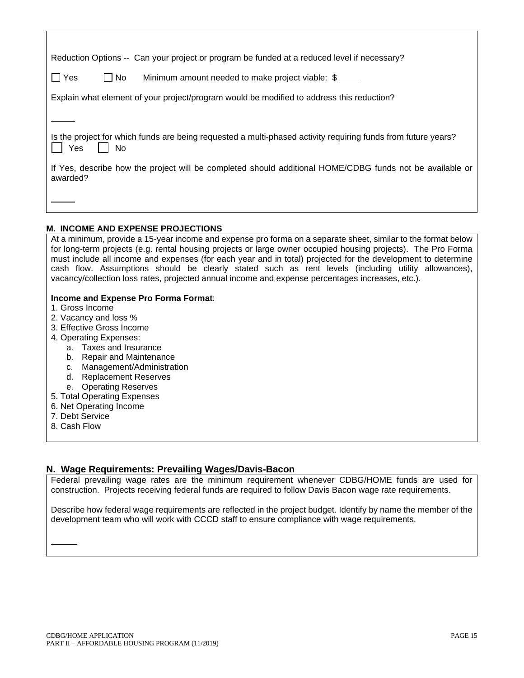| Reduction Options -- Can your project or program be funded at a reduced level if necessary?                                |
|----------------------------------------------------------------------------------------------------------------------------|
| No<br>Yes<br>Minimum amount needed to make project viable: \$                                                              |
| Explain what element of your project/program would be modified to address this reduction?                                  |
|                                                                                                                            |
| Is the project for which funds are being requested a multi-phased activity requiring funds from future years?<br>Yes<br>No |
| If Yes, describe how the project will be completed should additional HOME/CDBG funds not be available or<br>awarded?       |
|                                                                                                                            |

## **M. INCOME AND EXPENSE PROJECTIONS**

| At a minimum, provide a 15-year income and expense pro forma on a separate sheet, similar to the format below<br>for long-term projects (e.g. rental housing projects or large owner occupied housing projects). The Pro Forma |
|--------------------------------------------------------------------------------------------------------------------------------------------------------------------------------------------------------------------------------|
| must include all income and expenses (for each year and in total) projected for the development to determine                                                                                                                   |
| cash flow. Assumptions should be clearly stated such as rent levels (including utility allowances),                                                                                                                            |
| vacancy/collection loss rates, projected annual income and expense percentages increases, etc.).                                                                                                                               |
|                                                                                                                                                                                                                                |
| Income and Expense Pro Forma Format:                                                                                                                                                                                           |
| 1. Gross Income                                                                                                                                                                                                                |
| 2. Vacancy and loss %                                                                                                                                                                                                          |
| 3. Effective Gross Income                                                                                                                                                                                                      |
| 4. Operating Expenses:                                                                                                                                                                                                         |
| a. Taxes and Insurance                                                                                                                                                                                                         |
| b. Repair and Maintenance                                                                                                                                                                                                      |
| Management/Administration<br>c.                                                                                                                                                                                                |
| <b>Replacement Reserves</b><br>d.                                                                                                                                                                                              |
| e. Operating Reserves                                                                                                                                                                                                          |
| 5. Total Operating Expenses                                                                                                                                                                                                    |
| 6. Net Operating Income                                                                                                                                                                                                        |
| 7. Debt Service                                                                                                                                                                                                                |
| 0. 0. . I. FI.                                                                                                                                                                                                                 |

8. Cash Flow

# **N. Wage Requirements: Prevailing Wages/Davis-Bacon**

Federal prevailing wage rates are the minimum requirement whenever CDBG/HOME funds are used for construction. Projects receiving federal funds are required to follow Davis Bacon wage rate requirements.

Describe how federal wage requirements are reflected in the project budget. Identify by name the member of the development team who will work with CCCD staff to ensure compliance with wage requirements.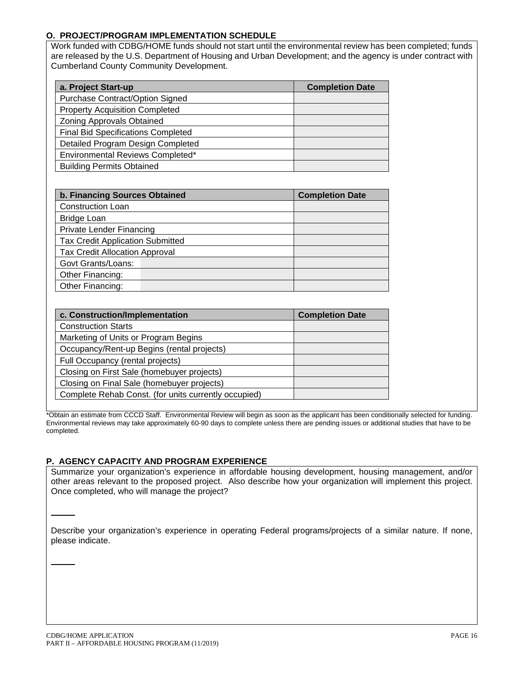## **O. PROJECT/PROGRAM IMPLEMENTATION SCHEDULE**

Work funded with CDBG/HOME funds should not start until the environmental review has been completed; funds are released by the U.S. Department of Housing and Urban Development; and the agency is under contract with Cumberland County Community Development.

| a. Project Start-up                       | <b>Completion Date</b> |
|-------------------------------------------|------------------------|
| Purchase Contract/Option Signed           |                        |
| <b>Property Acquisition Completed</b>     |                        |
| <b>Zoning Approvals Obtained</b>          |                        |
| <b>Final Bid Specifications Completed</b> |                        |
| Detailed Program Design Completed         |                        |
| Environmental Reviews Completed*          |                        |
| <b>Building Permits Obtained</b>          |                        |

| b. Financing Sources Obtained           | <b>Completion Date</b> |
|-----------------------------------------|------------------------|
| <b>Construction Loan</b>                |                        |
| <b>Bridge Loan</b>                      |                        |
| <b>Private Lender Financing</b>         |                        |
| <b>Tax Credit Application Submitted</b> |                        |
| <b>Tax Credit Allocation Approval</b>   |                        |
| Govt Grants/Loans:                      |                        |
| Other Financing:                        |                        |
| Other Financing:                        |                        |

| c. Construction/Implementation                       | <b>Completion Date</b> |
|------------------------------------------------------|------------------------|
| <b>Construction Starts</b>                           |                        |
| Marketing of Units or Program Begins                 |                        |
| Occupancy/Rent-up Begins (rental projects)           |                        |
| Full Occupancy (rental projects)                     |                        |
| Closing on First Sale (homebuyer projects)           |                        |
| Closing on Final Sale (homebuyer projects)           |                        |
| Complete Rehab Const. (for units currently occupied) |                        |

\*Obtain an estimate from CCCD Staff. Environmental Review will begin as soon as the applicant has been conditionally selected for funding. Environmental reviews may take approximately 60-90 days to complete unless there are pending issues or additional studies that have to be completed.

## **P. AGENCY CAPACITY AND PROGRAM EXPERIENCE**

Summarize your organization's experience in affordable housing development, housing management, and/or other areas relevant to the proposed project. Also describe how your organization will implement this project. Once completed, who will manage the project?

Describe your organization's experience in operating Federal programs/projects of a similar nature. If none, please indicate.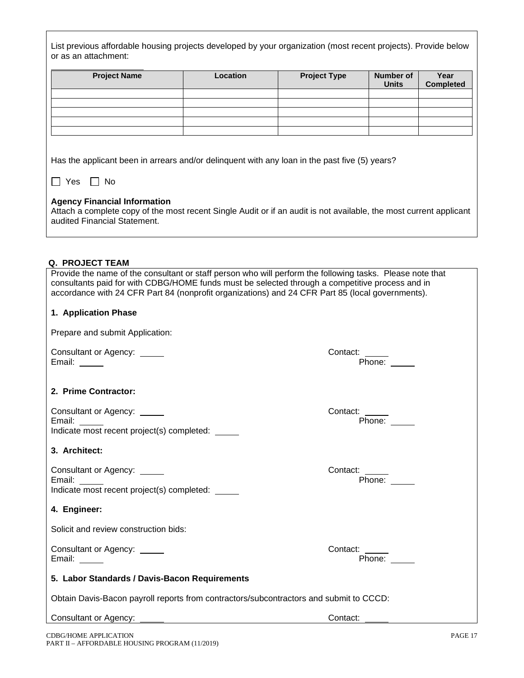| List previous affordable housing projects developed by your organization (most recent projects). Provide below |
|----------------------------------------------------------------------------------------------------------------|
| or as an attachment:                                                                                           |

| <b>Project Name</b> | Location | <b>Project Type</b> | <b>Number of</b><br><b>Units</b> | Year<br><b>Completed</b> |
|---------------------|----------|---------------------|----------------------------------|--------------------------|
|                     |          |                     |                                  |                          |
|                     |          |                     |                                  |                          |
|                     |          |                     |                                  |                          |
|                     |          |                     |                                  |                          |
|                     |          |                     |                                  |                          |

Has the applicant been in arrears and/or delinquent with any loan in the past five (5) years?

|  |  |  | N٥ |
|--|--|--|----|
|--|--|--|----|

### **Agency Financial Information**

Attach a complete copy of the most recent Single Audit or if an audit is not available, the most current applicant audited Financial Statement.

### **Q. PROJECT TEAM**

Provide the name of the consultant or staff person who will perform the following tasks. Please note that consultants paid for with CDBG/HOME funds must be selected through a competitive process and in accordance with 24 CFR Part 84 (nonprofit organizations) and 24 CFR Part 85 (local governments).

## **1. Application Phase**

| Prepare and submit Application: |
|---------------------------------|
|---------------------------------|

Consultant or Agency: \_\_\_\_\_\_<br>Email: \_\_\_\_\_\_

## **2. Prime Contractor:**

| Consultant or Agency: _____                | Contact: |
|--------------------------------------------|----------|
| Email:                                     | Phone:   |
| Indicate most recent project(s) completed: |          |

## **3. Architect:**

| Consultant or Agency: _____                | Contact: |
|--------------------------------------------|----------|
| Email:                                     | Phone:   |
| Indicate most recent project(s) completed: |          |

## **4. Engineer:**

Solicit and review construction bids:

Consultant or Agency: Contact: Email:  $\qquad \qquad$ 

Contact:<br>Phone:

### **5. Labor Standards / Davis-Bacon Requirements**

Obtain Davis-Bacon payroll reports from contractors/subcontractors and submit to CCCD:

Consultant or Agency: Contact: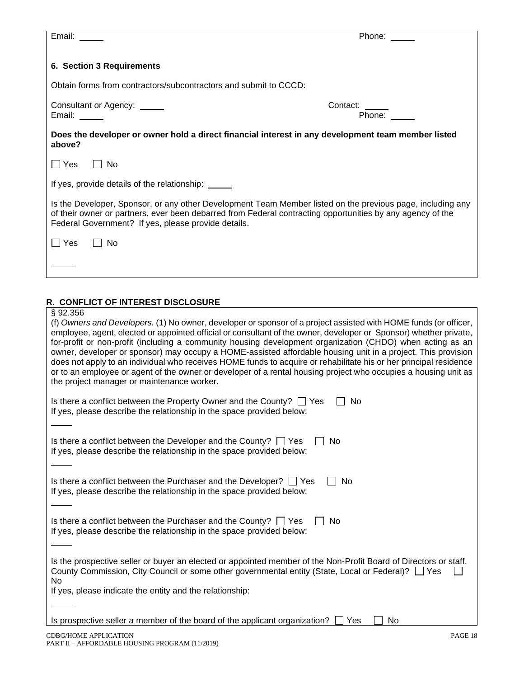| Email:                                                                                                                                                                                                                                                                                                                                                        | Phone: $\_\_$            |  |  |  |
|---------------------------------------------------------------------------------------------------------------------------------------------------------------------------------------------------------------------------------------------------------------------------------------------------------------------------------------------------------------|--------------------------|--|--|--|
| 6. Section 3 Requirements                                                                                                                                                                                                                                                                                                                                     |                          |  |  |  |
| Obtain forms from contractors/subcontractors and submit to CCCD:                                                                                                                                                                                                                                                                                              |                          |  |  |  |
| Consultant or Agency: _____<br>Email:                                                                                                                                                                                                                                                                                                                         | Contact: _____<br>Phone: |  |  |  |
| Does the developer or owner hold a direct financial interest in any development team member listed<br>above?                                                                                                                                                                                                                                                  |                          |  |  |  |
| $\Box$ Yes<br>$\vert$   No                                                                                                                                                                                                                                                                                                                                    |                          |  |  |  |
| If yes, provide details of the relationship: _____                                                                                                                                                                                                                                                                                                            |                          |  |  |  |
| Is the Developer, Sponsor, or any other Development Team Member listed on the previous page, including any<br>of their owner or partners, ever been debarred from Federal contracting opportunities by any agency of the<br>Federal Government? If yes, please provide details.                                                                               |                          |  |  |  |
| $\Box$ Yes<br>$\Box$ No                                                                                                                                                                                                                                                                                                                                       |                          |  |  |  |
|                                                                                                                                                                                                                                                                                                                                                               |                          |  |  |  |
| R. CONFLICT OF INTEREST DISCLOSURE                                                                                                                                                                                                                                                                                                                            |                          |  |  |  |
| §92.356<br>(f) Owners and Developers. (1) No owner, developer or sponsor of a project assisted with HOME funds (or officer,<br>employee, agent, elected or appointed official or consultant of the owner, developer or Sponsor) whether private,<br>for-profit or non-profit (including a community housing development organization (CHDO) when acting as an |                          |  |  |  |

| Is there a conflict between the Property Owner and the County? $\Box$ Yes<br>No.<br>If yes, please describe the relationship in the space provided below:                                                                        |
|----------------------------------------------------------------------------------------------------------------------------------------------------------------------------------------------------------------------------------|
|                                                                                                                                                                                                                                  |
| Is there a conflict between the Developer and the County? $\Box$ Yes<br>No.<br>If yes, please describe the relationship in the space provided below:                                                                             |
|                                                                                                                                                                                                                                  |
| Is there a conflict between the Purchaser and the Developer? $\Box$ Yes<br>No.<br>If yes, please describe the relationship in the space provided below:                                                                          |
|                                                                                                                                                                                                                                  |
| Is there a conflict between the Purchaser and the County? $\Box$ Yes<br>No.<br>If yes, please describe the relationship in the space provided below:                                                                             |
|                                                                                                                                                                                                                                  |
| Is the prospective seller or buyer an elected or appointed member of the Non-Profit Board of Directors or staff,<br>County Commission, City Council or some other governmental entity (State, Local or Federal)? [Carries<br>No. |
| If yes, please indicate the entity and the relationship:                                                                                                                                                                         |
|                                                                                                                                                                                                                                  |

Is prospective seller a member of the board of the applicant organization?  $\Box$  Yes  $\Box$  No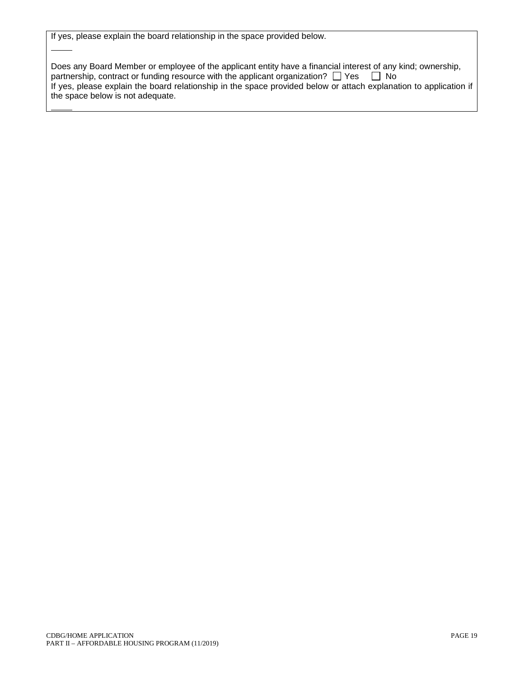|  |  |  |  |  |  |  |  | If yes, please explain the board relationship in the space provided below. |
|--|--|--|--|--|--|--|--|----------------------------------------------------------------------------|
|--|--|--|--|--|--|--|--|----------------------------------------------------------------------------|

| Does any Board Member or employee of the applicant entity have a financial interest of any kind; ownership,       |
|-------------------------------------------------------------------------------------------------------------------|
| partnership, contract or funding resource with the applicant organization? $\Box$ Yes $\Box$ No                   |
| If yes, please explain the board relationship in the space provided below or attach explanation to application if |
| the space below is not adequate.                                                                                  |